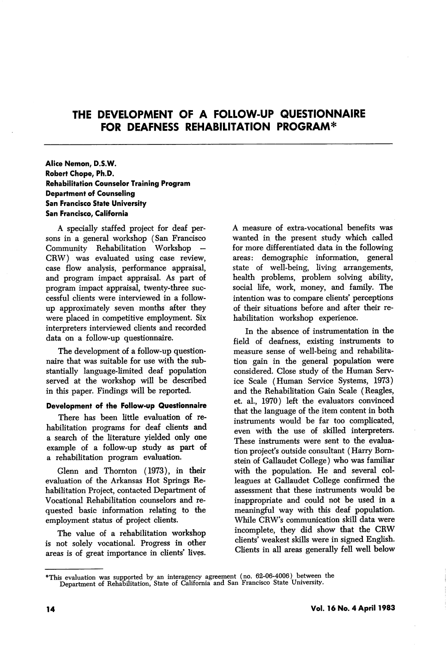# THE DEVELOPMENT OF A FOLLOW-UP QUESTIONNAIRE FOR DEAFNESS REHABILITATION PROGRAM\*

Alice Nemon, D.S.W. Robert Chope, Ph.D. Rehabilitation Counselor Training Program Department of Counseling San Francisco State University San Francisco, California

A specially staffed project for deaf per sons in a general workshop (San Francisco Community Rehabilitation Workshop CRW) was evaluated using case review, case flow analysis, performance appraisal, and program impact appraisal. As part of program impact appraisal, twenty-three suc cessful clients were interviewed in a followup approximately seven months after they were placed in competitive employment. Six interpreters interviewed clients and recorded data on a follow-up questionnaire.

The development of a follow-up question naire that was suitable for use with the sub stantially language-limited deaf population served at the workshop will be described in this paper. Findings will be reported.

## Development of the Follow-up Questionnaire

There has been little evaluation of re habilitation programs for deaf clients and a search of the literature yielded only one example of a follow-up study as part of a rehabilitation program evaluation.

Glenn and Thornton (1973), in their evaluation of the Arkansas Hot Springs Re habilitation Project, contacted Department of Vocational Rehabilitation counselors and re quested basic information relating to the employment status of project clients.

The value of a rehabilitation workshop is not solely vocational. Progress in other areas is of great importance in clients' lives.

A measure of extra-vocational benefits was wanted in the present study which called for more differentiated data in the following areas: demographic information, general state of well-being, living arrangements, health problems, problem solving ability, social life, work, money, and family. The intention was to compare clients' perceptions of their situations before and after their re habilitation workshop experience.

In the absence of instrumentation in the field of deafness, existing instruments to measure sense of well-being and rehabilita tion gain in the general population were considered. Close study of the Human Serv ice Scale (Human Service Systems, 1973) and the Rehabilitation Gain Scale (Reagles, et. al., 1970) left the evaluators convinced that the language of the item content in both instruments would be far too complicated, even with the use of skilled interpreters. These instruments were sent to the evalua tion project's outside consultant (Harry Bomstein of Gallaudet College) who was familiar with the population. He and several col leagues at Gallaudet College confirmed the assessment that these instruments would be inappropriate and could not be used in a meaningful way with this deaf population. While CRW's communication skiU data were incomplete, they did show that the CRW clients' weakest skills were in signed English. Clients in all areas generally fell well below

<sup>&#</sup>x27;\*This evaluation was supported by an interagency agreement (no. 62-06-4006) between the Department of Rehabilitation, State of California and San Francisco State University.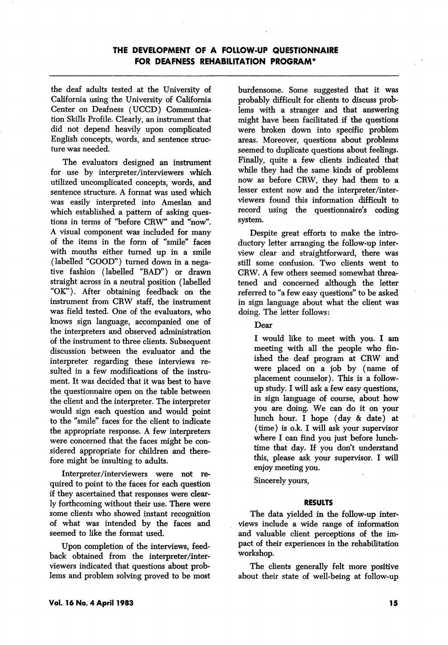the deaf adults tested at the University of California using the University of California Center on Deafness (UCCD) Communica tion Skills Profile. Clearly, an instrument that did not depend heavily upon complicated English concepts, words, and sentence struc ture was needed.

The evaluators designed an instrument for use by interpreter/interviewers which utilized uncomplicated concepts, words, and sentence structure. A format was used which was easily interpreted into Ameslan and which established a pattern of asking ques tions in terms of "before CRW" and "now". A visual component was included for many of the items in the form of "smile" faces with mouths either turned up in a smile (labelled "GOOD") turned down in a nega tive fashion (labelled "BAD") or drawn straight across in a neutral position (labelled "OK"). After obtaining feedback on the instrument from CRW staff, the instrument was field tested. One of the evaluators, who knows sign language, accompanied one of the interpreters and observed administration of the instrument to three clients. Subsequent discussion between the evaluator and the interpreter regarding these interviews re sulted in a few modifications of the instru ment. It was decided that it was best to have the questionnaire open on the table between the client and the interpreter. The interpreter would sign each question and would point to the "smile" faces for the client to indicate the appropriate response. A few interpreters were concerned that the faces might be con sidered appropriate for children and there fore might be insulting to adults.

Interpreter/interviewers were not re quired to point to the faces for each question if they ascertained that responses were clear ly forthcoming without their use. There were some clients who showed instant recognition of what was intended by the faces and seemed to like the format used.

Upon completion of the interviews, feed back obtained from the interpreter/inter viewers indicated that questions about prob lems and problem solving proved to be most burdensome. Some suggested that it was probably difficult for clients to discuss prob lems with a stranger and that answering might have been facilitated if the questions were broken down into specific problem areas. Moreover, questions about problems seemed to duplicate questions about feelings. Finally, quite a few clients indicated that while they had the same kinds of problems now as before CRW, they had them to a lesser extent now and the interpreter/inter viewers found this information difficult to record using the questionnaire's coding system.

Despite great efforts to make the intro ductory letter arranging the follow-up inter view clear and straightforward, there was still some confusion. Two clients went to CRW. A few others seemed somewhat threa tened and concerned although the letter referred to "a few easy questions" to be asked in sign language about what the client was doing. The letter follows:

Dear

I would like to meet with you. I am meeting with all the people who fin ished the deaf program at CRW and were placed on a job by (name of placement counselor). This is a followup study. I wiU ask a few easy questions, in sign language of course, about how you are doing. We can do it on your lunch hour. I hope (day & date) at (time) is o.k. I will ask your supervisor where I can find you just before lunchtime that day. If you don't understand this, please ask your supervisor. I wiU enjoy meeting you.

Sincerely yours,

## RESULTS

The data yielded in the follow-up inter views include a wide range of information and valuable client perceptions of the im pact of their experiences in the rehabilitation workshop.

The clients generally felt more positive about their state of well-being at follow-up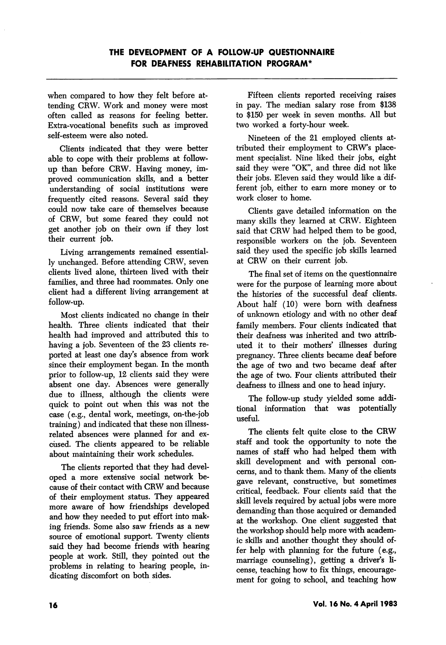when compared to how they felt before at tending CRW. Work and money were most often called as reasons for feeling better. Extra-vocational benefits such as improved self-esteem were also noted.

Clients indicated that they were better able to cope with their problems at followup than before CRW. Having money, im proved communication skills, and a better understanding of social institutions were frequently cited reasons. Several said they could now take care of themselves because of CRW, but some feared they could not get another job on their own if they lost their current job.

Living arrangements remained essential ly unchanged. Before attending CRW, seven clients lived alone, thirteen lived with their families, and three had roommates. Only one client had a different living arrangement at follow-up.

Most clients indicated no change in their health. Three clients indicated that their health had improved and attributed this to having a job. Seventeen of the 23 clients re ported at least one day's absence from work since their employment began. In the month prior to follow-up, 12 clients said they were absent one day. Absences were generally due to illness, although the clients were quick to point out when this was not the case (e.g., dental work, meetings, on-the-job training) and indicated that these non illnessrelated absences were planned for and ex cused. The clients appeared to be reliable about maintaining their work schedules.

The clients reported that they had devel oped a more extensive social network be cause of their contact with CRW and because of their employment status. They appeared more aware of how friendships developed and how they needed to put effort into mak ing friends. Some also saw friends as a new source of emotional support. Twenty clients said they had become friends with hearing people at work. Still, they pointed out the problems in relating to hearing people, in dicating discomfort on both sides.

Fifteen clients reported receiving raises in pay. The median salary rose from \$138 to \$150 per week in seven months. All but two worked a forty-hour week.

Nineteen of the 21 employed clients at tributed their employment to CRW's place ment specialist. Nine liked their jobs, eight said they were "OK", and three did not like their jobs. Eleven said they would like a dif ferent job, either to earn more money or to work closer to home.

Clients gave detailed information on the many skills they learned at CRW. Eighteen said that CRW had helped them to be good, responsible workers on the job. Seventeen said they used the specific job skills learned at CRW on their current job.

The final set of items on the questionnaire were for the purpose of learning more about the histories of the successful deaf clients. About half (10) were bom with deafness of unknown etiology and with no other deaf family members. Four clients indicated that their deafness was inherited and two attrib uted it to their mothers' illnesses during pregnancy. Three clients became deaf before the age of two and two became deaf after the age of two. Four clients attributed their deafness to illness and one to head injury.

The follow-up study yielded some addi tional information that was potentially useful.

The clients felt quite close to the CRW staff and took the opportunity to note the names of staff who had helped them with skill development and with personal con cerns, and to thank them. Many of the clients gave relevant, constructive, but sometimes critical, feedback. Four clients said that the skill levels required by actual jobs were more demanding than those acquired or demanded at the workshop. One client suggested that the workshop should help more with academ ic skills and another thought they should of fer help with planning for the future (e.g., marriage counseling), getting a driver's li cense, teaching how to fix things, encourage ment for going to school, and teaching how